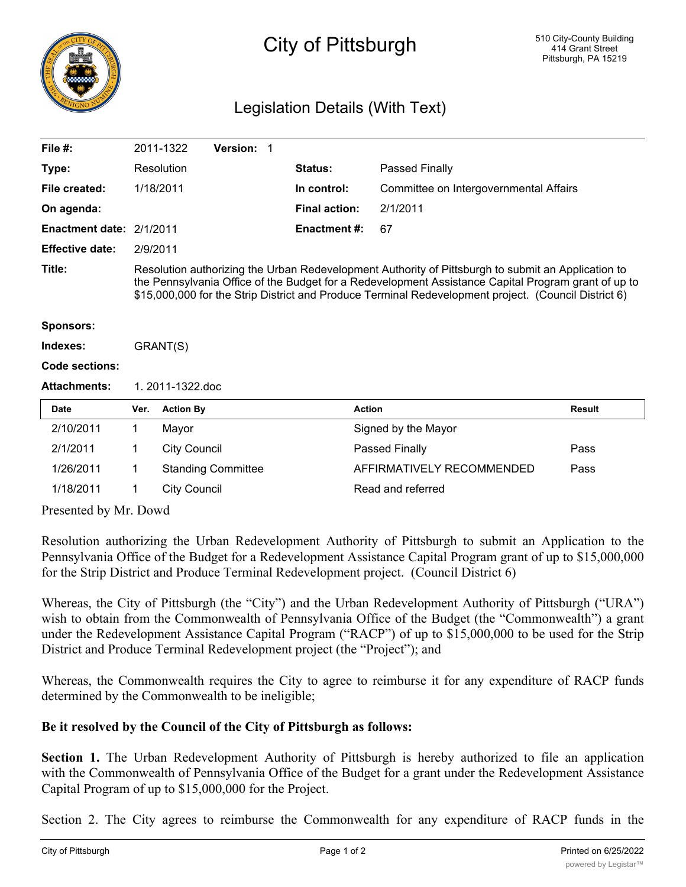

## City of Pittsburgh

## Legislation Details (With Text)

| File $#$ :               |                                                                                                                                                                                                                                                                                                                   | 2011-1322           | <b>Version: 1</b>         |  |                      |                                        |               |
|--------------------------|-------------------------------------------------------------------------------------------------------------------------------------------------------------------------------------------------------------------------------------------------------------------------------------------------------------------|---------------------|---------------------------|--|----------------------|----------------------------------------|---------------|
| Type:                    |                                                                                                                                                                                                                                                                                                                   | Resolution          |                           |  | Status:              | Passed Finally                         |               |
| File created:            | 1/18/2011                                                                                                                                                                                                                                                                                                         |                     |                           |  | In control:          | Committee on Intergovernmental Affairs |               |
| On agenda:               |                                                                                                                                                                                                                                                                                                                   |                     |                           |  | <b>Final action:</b> | 2/1/2011                               |               |
| Enactment date: 2/1/2011 |                                                                                                                                                                                                                                                                                                                   |                     |                           |  | <b>Enactment#:</b>   | 67                                     |               |
| <b>Effective date:</b>   | 2/9/2011                                                                                                                                                                                                                                                                                                          |                     |                           |  |                      |                                        |               |
| Title:                   | Resolution authorizing the Urban Redevelopment Authority of Pittsburgh to submit an Application to<br>the Pennsylvania Office of the Budget for a Redevelopment Assistance Capital Program grant of up to<br>\$15,000,000 for the Strip District and Produce Terminal Redevelopment project. (Council District 6) |                     |                           |  |                      |                                        |               |
| <b>Sponsors:</b>         |                                                                                                                                                                                                                                                                                                                   |                     |                           |  |                      |                                        |               |
| Indexes:                 | GRANT(S)                                                                                                                                                                                                                                                                                                          |                     |                           |  |                      |                                        |               |
| Code sections:           |                                                                                                                                                                                                                                                                                                                   |                     |                           |  |                      |                                        |               |
| <b>Attachments:</b>      | 1.2011-1322.doc                                                                                                                                                                                                                                                                                                   |                     |                           |  |                      |                                        |               |
| Date                     | Ver.                                                                                                                                                                                                                                                                                                              | <b>Action By</b>    |                           |  |                      | <b>Action</b>                          | <b>Result</b> |
| 2/10/2011                | 1                                                                                                                                                                                                                                                                                                                 | Mayor               |                           |  |                      | Signed by the Mayor                    |               |
| 2/1/2011                 | 1                                                                                                                                                                                                                                                                                                                 | <b>City Council</b> |                           |  |                      | Passed Finally                         | Pass          |
| 1/26/2011                | 1                                                                                                                                                                                                                                                                                                                 |                     | <b>Standing Committee</b> |  |                      | AFFIRMATIVELY RECOMMENDED              | Pass          |
| 1/18/2011                | 1                                                                                                                                                                                                                                                                                                                 | <b>City Council</b> |                           |  |                      | Read and referred                      |               |

Presented by Mr. Dowd

Resolution authorizing the Urban Redevelopment Authority of Pittsburgh to submit an Application to the Pennsylvania Office of the Budget for a Redevelopment Assistance Capital Program grant of up to \$15,000,000 for the Strip District and Produce Terminal Redevelopment project. (Council District 6)

Whereas, the City of Pittsburgh (the "City") and the Urban Redevelopment Authority of Pittsburgh ("URA") wish to obtain from the Commonwealth of Pennsylvania Office of the Budget (the "Commonwealth") a grant under the Redevelopment Assistance Capital Program ("RACP") of up to \$15,000,000 to be used for the Strip District and Produce Terminal Redevelopment project (the "Project"); and

Whereas, the Commonwealth requires the City to agree to reimburse it for any expenditure of RACP funds determined by the Commonwealth to be ineligible;

## **Be it resolved by the Council of the City of Pittsburgh as follows:**

**Section 1.** The Urban Redevelopment Authority of Pittsburgh is hereby authorized to file an application with the Commonwealth of Pennsylvania Office of the Budget for a grant under the Redevelopment Assistance Capital Program of up to \$15,000,000 for the Project.

Section 2. The City agrees to reimburse the Commonwealth for any expenditure of RACP funds in the